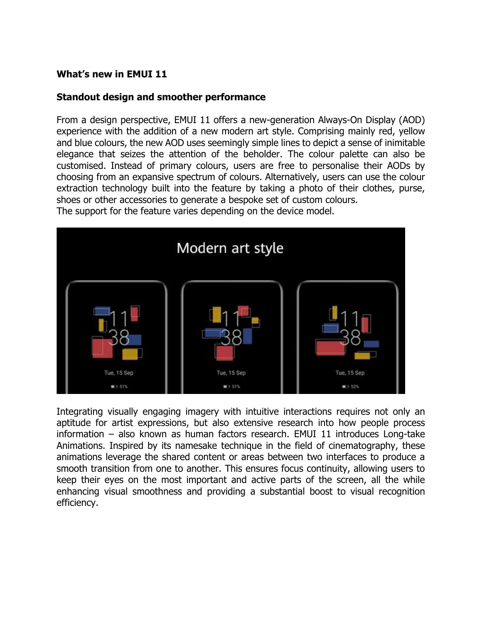# **What's new in EMUI 11**

## **Standout design and smoother performance**

From a design perspective, EMUI 11 offers a new-generation Always-On Display (AOD) experience with the addition of a new modern art style. Comprising mainly red, yellow and blue colours, the new AOD uses seemingly simple lines to depict a sense of inimitable elegance that seizes the attention of the beholder. The colour palette can also be customised. Instead of primary colours, users are free to personalise their AODs by choosing from an expansive spectrum of colours. Alternatively, users can use the colour extraction technology built into the feature by taking a photo of their clothes, purse, shoes or other accessories to generate a bespoke set of custom colours.

The support for the feature varies depending on the device model.



Integrating visually engaging imagery with intuitive interactions requires not only an aptitude for artist expressions, but also extensive research into how people process information – also known as human factors research. EMUI 11 introduces Long-take Animations. Inspired by its namesake technique in the field of cinematography, these animations leverage the shared content or areas between two interfaces to produce a smooth transition from one to another. This ensures focus continuity, allowing users to keep their eyes on the most important and active parts of the screen, all the while enhancing visual smoothness and providing a substantial boost to visual recognition efficiency.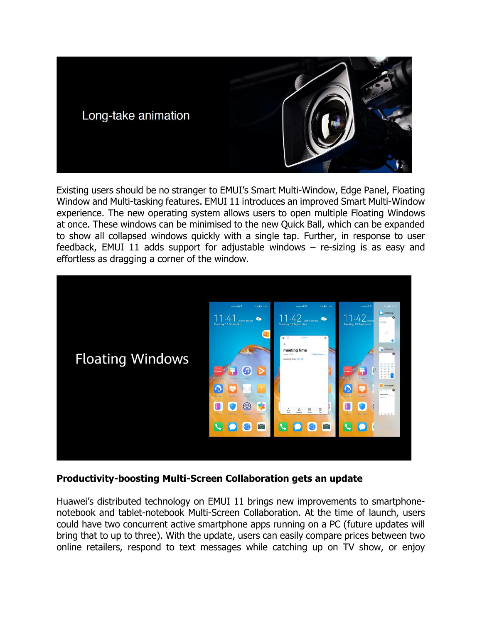

Existing users should be no stranger to EMUI's Smart Multi-Window, Edge Panel, Floating Window and Multi-tasking features. EMUI 11 introduces an improved Smart Multi-Window experience. The new operating system allows users to open multiple Floating Windows at once. These windows can be minimised to the new Quick Ball, which can be expanded to show all collapsed windows quickly with a single tap. Further, in response to user feedback, EMUI 11 adds support for adjustable windows – re-sizing is as easy and effortless as dragging a corner of the window.



# **Productivity-boosting Multi-Screen Collaboration gets an update**

Huawei's distributed technology on EMUI 11 brings new improvements to smartphonenotebook and tablet-notebook Multi-Screen Collaboration. At the time of launch, users could have two concurrent active smartphone apps running on a PC (future updates will bring that to up to three). With the update, users can easily compare prices between two online retailers, respond to text messages while catching up on TV show, or enjoy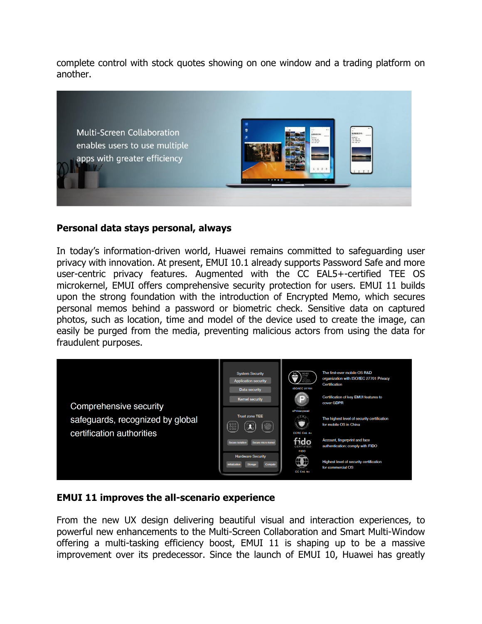complete control with stock quotes showing on one window and a trading platform on another.



#### **Personal data stays personal, always**

In today's information-driven world, Huawei remains committed to safeguarding user privacy with innovation. At present, EMUI 10.1 already supports Password Safe and more user-centric privacy features. Augmented with the CC EAL5+-certified TEE OS microkernel, EMUI offers comprehensive security protection for users. EMUI 11 builds upon the strong foundation with the introduction of Encrypted Memo, which secures personal memos behind a password or biometric check. Sensitive data on captured photos, such as location, time and model of the device used to create the image, can easily be purged from the media, preventing malicious actors from using the data for fraudulent purposes.



#### **EMUI 11 improves the all-scenario experience**

From the new UX design delivering beautiful visual and interaction experiences, to powerful new enhancements to the Multi-Screen Collaboration and Smart Multi-Window offering a multi-tasking efficiency boost, EMUI 11 is shaping up to be a massive improvement over its predecessor. Since the launch of EMUI 10, Huawei has greatly